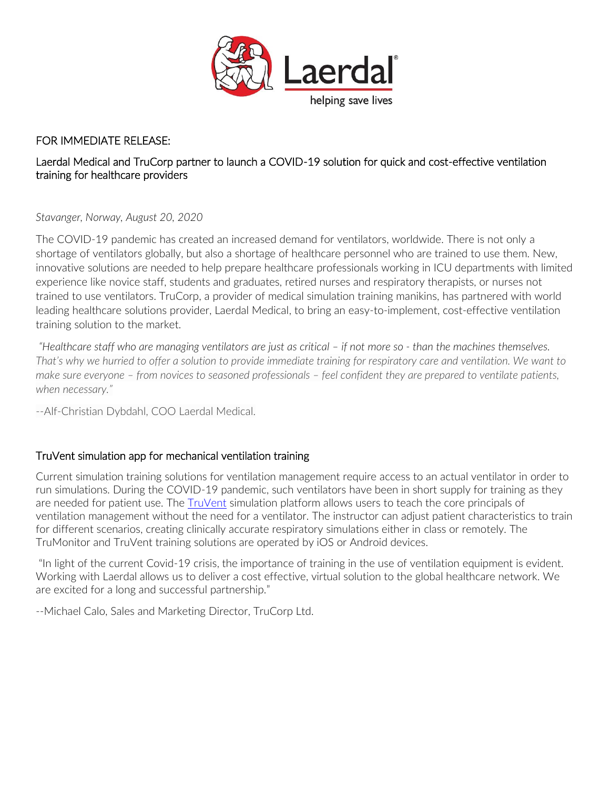

# FOR IMMEDIATE RELEASE:

# Laerdal Medical and TruCorp partner to launch a COVID-19 solution for quick and cost-effective ventilation training for healthcare providers

*Stavanger, Norway, August 20, 2020*

The COVID-19 pandemic has created an increased demand for ventilators, worldwide. There is not only a shortage of ventilators globally, but also a shortage of healthcare personnel who are trained to use them. New, innovative solutions are needed to help prepare healthcare professionals working in ICU departments with limited experience like novice staff, students and graduates, retired nurses and respiratory therapists, or nurses not trained to use ventilators. TruCorp, a provider of medical simulation training manikins, has partnered with world leading healthcare solutions provider, Laerdal Medical, to bring an easy-to-implement, cost-effective ventilation training solution to the market.

*"Healthcare staff who are managing ventilators are just as critical – if not more so - than the machines themselves. That's why we hurried to offer a solution to provide immediate training for respiratory care and ventilation. We want to make sure everyone – from novices to seasoned professionals – feel confident they are prepared to ventilate patients, when necessary."*

--Alf-Christian Dybdahl, COO Laerdal Medical.

# TruVent simulation app for mechanical ventilation training

Current simulation training solutions for ventilation management require access to an actual ventilator in order to run simulations. During the COVID-19 pandemic, such ventilators have been in short supply for training as they are needed for patient use. The [TruVent](https://www.laerdal.com/us/products/tech/truvent/?utm_source=Newswise&utm_medium=Press%20Release&utm_campaign=20-18419%20-%20TruVent%20Product%20Launch%20Press%20Release%20LP&utm_content=TruVent) simulation platform allows users to teach the core principals of ventilation management without the need for a ventilator. The instructor can adjust patient characteristics to train for different scenarios, creating clinically accurate respiratory simulations either in class or remotely. The TruMonitor and TruVent training solutions are operated by iOS or Android devices.

"In light of the current Covid-19 crisis, the importance of training in the use of ventilation equipment is evident. Working with Laerdal allows us to deliver a cost effective, virtual solution to the global healthcare network. We are excited for a long and successful partnership."

--Michael Calo, Sales and Marketing Director, TruCorp Ltd.